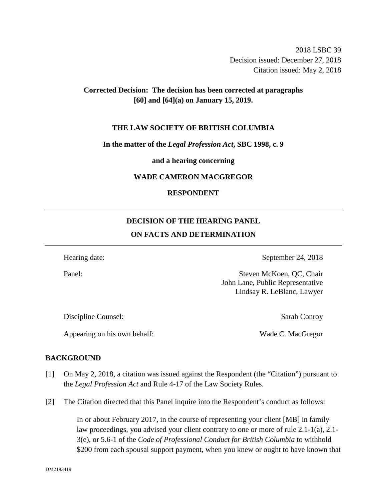2018 LSBC 39 Decision issued: December 27, 2018 Citation issued: May 2, 2018

# **Corrected Decision: The decision has been corrected at paragraphs [60] and [64](a) on January 15, 2019.**

#### **THE LAW SOCIETY OF BRITISH COLUMBIA**

### **In the matter of the** *Legal Profession Act***, SBC 1998, c. 9**

**and a hearing concerning**

### **WADE CAMERON MACGREGOR**

## **RESPONDENT**

# **DECISION OF THE HEARING PANEL ON FACTS AND DETERMINATION**

Hearing date: September 24, 2018

Panel: Steven McKoen, QC, Chair John Lane, Public Representative Lindsay R. LeBlanc, Lawyer

Discipline Counsel: Sarah Conroy

Appearing on his own behalf: Wade C. MacGregor

## **BACKGROUND**

- [1] On May 2, 2018, a citation was issued against the Respondent (the "Citation") pursuant to the *Legal Profession Act* and Rule 4-17 of the Law Society Rules.
- [2] The Citation directed that this Panel inquire into the Respondent's conduct as follows:

In or about February 2017, in the course of representing your client [MB] in family law proceedings, you advised your client contrary to one or more of rule 2.1-1(a), 2.1- 3(e), or 5.6-1 of the *Code of Professional Conduct for British Columbia* to withhold \$200 from each spousal support payment, when you knew or ought to have known that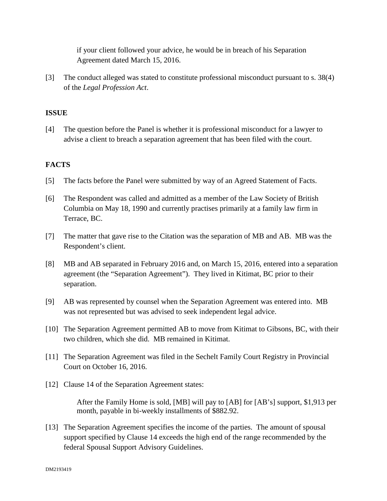if your client followed your advice, he would be in breach of his Separation Agreement dated March 15, 2016.

[3] The conduct alleged was stated to constitute professional misconduct pursuant to s. 38(4) of the *Legal Profession Act*.

# **ISSUE**

[4] The question before the Panel is whether it is professional misconduct for a lawyer to advise a client to breach a separation agreement that has been filed with the court.

# **FACTS**

- [5] The facts before the Panel were submitted by way of an Agreed Statement of Facts.
- [6] The Respondent was called and admitted as a member of the Law Society of British Columbia on May 18, 1990 and currently practises primarily at a family law firm in Terrace, BC.
- [7] The matter that gave rise to the Citation was the separation of MB and AB. MB was the Respondent's client.
- [8] MB and AB separated in February 2016 and, on March 15, 2016, entered into a separation agreement (the "Separation Agreement"). They lived in Kitimat, BC prior to their separation.
- [9] AB was represented by counsel when the Separation Agreement was entered into. MB was not represented but was advised to seek independent legal advice.
- [10] The Separation Agreement permitted AB to move from Kitimat to Gibsons, BC, with their two children, which she did. MB remained in Kitimat.
- [11] The Separation Agreement was filed in the Sechelt Family Court Registry in Provincial Court on October 16, 2016.
- [12] Clause 14 of the Separation Agreement states:

After the Family Home is sold, [MB] will pay to [AB] for [AB's] support, \$1,913 per month, payable in bi-weekly installments of \$882.92.

[13] The Separation Agreement specifies the income of the parties. The amount of spousal support specified by Clause 14 exceeds the high end of the range recommended by the federal Spousal Support Advisory Guidelines.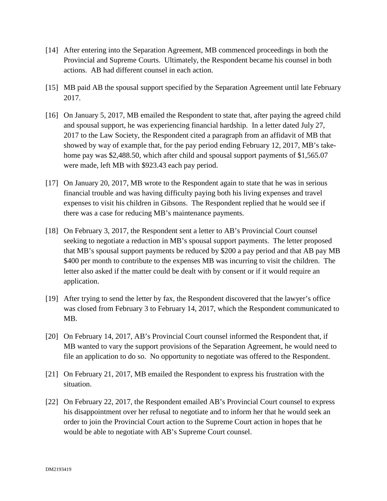- [14] After entering into the Separation Agreement, MB commenced proceedings in both the Provincial and Supreme Courts. Ultimately, the Respondent became his counsel in both actions. AB had different counsel in each action.
- [15] MB paid AB the spousal support specified by the Separation Agreement until late February 2017.
- [16] On January 5, 2017, MB emailed the Respondent to state that, after paying the agreed child and spousal support, he was experiencing financial hardship. In a letter dated July 27, 2017 to the Law Society, the Respondent cited a paragraph from an affidavit of MB that showed by way of example that, for the pay period ending February 12, 2017, MB's takehome pay was \$2,488.50, which after child and spousal support payments of \$1,565.07 were made, left MB with \$923.43 each pay period.
- [17] On January 20, 2017, MB wrote to the Respondent again to state that he was in serious financial trouble and was having difficulty paying both his living expenses and travel expenses to visit his children in Gibsons. The Respondent replied that he would see if there was a case for reducing MB's maintenance payments.
- [18] On February 3, 2017, the Respondent sent a letter to AB's Provincial Court counsel seeking to negotiate a reduction in MB's spousal support payments. The letter proposed that MB's spousal support payments be reduced by \$200 a pay period and that AB pay MB \$400 per month to contribute to the expenses MB was incurring to visit the children. The letter also asked if the matter could be dealt with by consent or if it would require an application.
- [19] After trying to send the letter by fax, the Respondent discovered that the lawyer's office was closed from February 3 to February 14, 2017, which the Respondent communicated to MB.
- [20] On February 14, 2017, AB's Provincial Court counsel informed the Respondent that, if MB wanted to vary the support provisions of the Separation Agreement, he would need to file an application to do so. No opportunity to negotiate was offered to the Respondent.
- [21] On February 21, 2017, MB emailed the Respondent to express his frustration with the situation.
- [22] On February 22, 2017, the Respondent emailed AB's Provincial Court counsel to express his disappointment over her refusal to negotiate and to inform her that he would seek an order to join the Provincial Court action to the Supreme Court action in hopes that he would be able to negotiate with AB's Supreme Court counsel.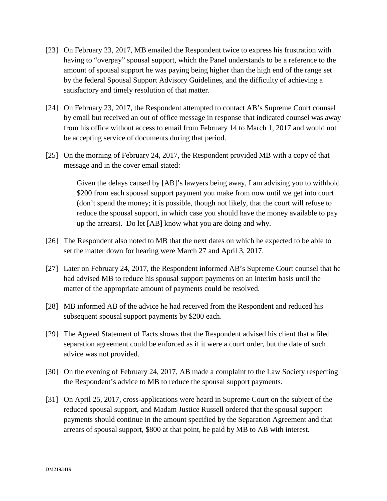- [23] On February 23, 2017, MB emailed the Respondent twice to express his frustration with having to "overpay" spousal support, which the Panel understands to be a reference to the amount of spousal support he was paying being higher than the high end of the range set by the federal Spousal Support Advisory Guidelines, and the difficulty of achieving a satisfactory and timely resolution of that matter.
- [24] On February 23, 2017, the Respondent attempted to contact AB's Supreme Court counsel by email but received an out of office message in response that indicated counsel was away from his office without access to email from February 14 to March 1, 2017 and would not be accepting service of documents during that period.
- [25] On the morning of February 24, 2017, the Respondent provided MB with a copy of that message and in the cover email stated:

Given the delays caused by [AB]'s lawyers being away, I am advising you to withhold \$200 from each spousal support payment you make from now until we get into court (don't spend the money; it is possible, though not likely, that the court will refuse to reduce the spousal support, in which case you should have the money available to pay up the arrears). Do let [AB] know what you are doing and why.

- [26] The Respondent also noted to MB that the next dates on which he expected to be able to set the matter down for hearing were March 27 and April 3, 2017.
- [27] Later on February 24, 2017, the Respondent informed AB's Supreme Court counsel that he had advised MB to reduce his spousal support payments on an interim basis until the matter of the appropriate amount of payments could be resolved.
- [28] MB informed AB of the advice he had received from the Respondent and reduced his subsequent spousal support payments by \$200 each.
- [29] The Agreed Statement of Facts shows that the Respondent advised his client that a filed separation agreement could be enforced as if it were a court order, but the date of such advice was not provided.
- [30] On the evening of February 24, 2017, AB made a complaint to the Law Society respecting the Respondent's advice to MB to reduce the spousal support payments.
- [31] On April 25, 2017, cross-applications were heard in Supreme Court on the subject of the reduced spousal support, and Madam Justice Russell ordered that the spousal support payments should continue in the amount specified by the Separation Agreement and that arrears of spousal support, \$800 at that point, be paid by MB to AB with interest.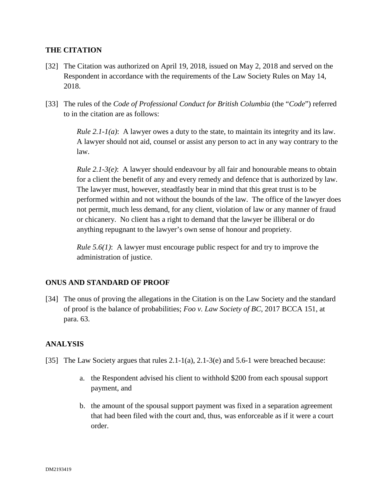## **THE CITATION**

- [32] The Citation was authorized on April 19, 2018, issued on May 2, 2018 and served on the Respondent in accordance with the requirements of the Law Society Rules on May 14, 2018.
- [33] The rules of the *Code of Professional Conduct for British Columbia* (the "*Code*") referred to in the citation are as follows:

*Rule 2.1-1(a)*: A lawyer owes a duty to the state, to maintain its integrity and its law. A lawyer should not aid, counsel or assist any person to act in any way contrary to the law.

*Rule 2.1-3(e)*: A lawyer should endeavour by all fair and honourable means to obtain for a client the benefit of any and every remedy and defence that is authorized by law. The lawyer must, however, steadfastly bear in mind that this great trust is to be performed within and not without the bounds of the law. The office of the lawyer does not permit, much less demand, for any client, violation of law or any manner of fraud or chicanery. No client has a right to demand that the lawyer be illiberal or do anything repugnant to the lawyer's own sense of honour and propriety.

*Rule 5.6(1)*: A lawyer must encourage public respect for and try to improve the administration of justice.

## **ONUS AND STANDARD OF PROOF**

[34] The onus of proving the allegations in the Citation is on the Law Society and the standard of proof is the balance of probabilities; *Foo v. Law Society of BC*, 2017 BCCA 151, at para. 63.

## **ANALYSIS**

- [35] The Law Society argues that rules 2.1-1(a), 2.1-3(e) and 5.6-1 were breached because:
	- a. the Respondent advised his client to withhold \$200 from each spousal support payment, and
	- b. the amount of the spousal support payment was fixed in a separation agreement that had been filed with the court and, thus, was enforceable as if it were a court order.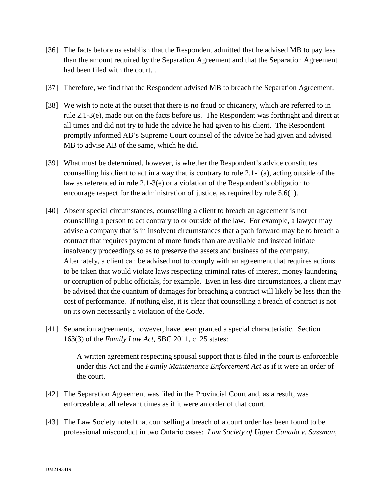- [36] The facts before us establish that the Respondent admitted that he advised MB to pay less than the amount required by the Separation Agreement and that the Separation Agreement had been filed with the court. .
- [37] Therefore, we find that the Respondent advised MB to breach the Separation Agreement.
- [38] We wish to note at the outset that there is no fraud or chicanery, which are referred to in rule 2.1-3(e), made out on the facts before us. The Respondent was forthright and direct at all times and did not try to hide the advice he had given to his client. The Respondent promptly informed AB's Supreme Court counsel of the advice he had given and advised MB to advise AB of the same, which he did.
- [39] What must be determined, however, is whether the Respondent's advice constitutes counselling his client to act in a way that is contrary to rule  $2.1-1(a)$ , acting outside of the law as referenced in rule 2.1-3(e) or a violation of the Respondent's obligation to encourage respect for the administration of justice, as required by rule 5.6(1).
- [40] Absent special circumstances, counselling a client to breach an agreement is not counselling a person to act contrary to or outside of the law. For example, a lawyer may advise a company that is in insolvent circumstances that a path forward may be to breach a contract that requires payment of more funds than are available and instead initiate insolvency proceedings so as to preserve the assets and business of the company. Alternately, a client can be advised not to comply with an agreement that requires actions to be taken that would violate laws respecting criminal rates of interest, money laundering or corruption of public officials, for example. Even in less dire circumstances, a client may be advised that the quantum of damages for breaching a contract will likely be less than the cost of performance. If nothing else, it is clear that counselling a breach of contract is not on its own necessarily a violation of the *Code*.
- [41] Separation agreements, however, have been granted a special characteristic. Section 163(3) of the *Family Law Act*, SBC 2011, c. 25 states:

A written agreement respecting spousal support that is filed in the court is enforceable under this Act and the *Family Maintenance Enforcement Act* as if it were an order of the court.

- [42] The Separation Agreement was filed in the Provincial Court and, as a result, was enforceable at all relevant times as if it were an order of that court.
- [43] The Law Society noted that counselling a breach of a court order has been found to be professional misconduct in two Ontario cases: *Law Society of Upper Canada v. Sussman*,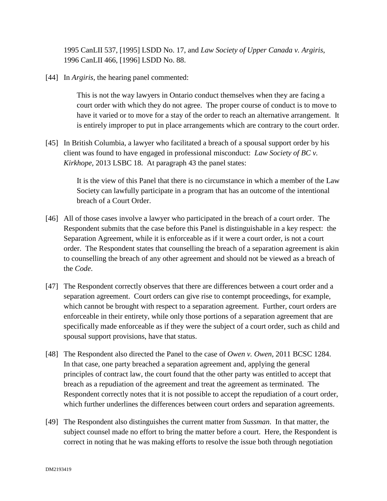1995 CanLII 537, [1995] LSDD No. 17, and *Law Society of Upper Canada v. Argiris*, 1996 CanLII 466, [1996] LSDD No. 88.

[44] In *Argiris*, the hearing panel commented:

This is not the way lawyers in Ontario conduct themselves when they are facing a court order with which they do not agree. The proper course of conduct is to move to have it varied or to move for a stay of the order to reach an alternative arrangement. It is entirely improper to put in place arrangements which are contrary to the court order.

[45] In British Columbia, a lawyer who facilitated a breach of a spousal support order by his client was found to have engaged in professional misconduct: *Law Society of BC v. Kirkhope*, 2013 LSBC 18. At paragraph 43 the panel states:

> It is the view of this Panel that there is no circumstance in which a member of the Law Society can lawfully participate in a program that has an outcome of the intentional breach of a Court Order.

- [46] All of those cases involve a lawyer who participated in the breach of a court order. The Respondent submits that the case before this Panel is distinguishable in a key respect: the Separation Agreement, while it is enforceable as if it were a court order, is not a court order. The Respondent states that counselling the breach of a separation agreement is akin to counselling the breach of any other agreement and should not be viewed as a breach of the *Code*.
- [47] The Respondent correctly observes that there are differences between a court order and a separation agreement. Court orders can give rise to contempt proceedings, for example, which cannot be brought with respect to a separation agreement. Further, court orders are enforceable in their entirety, while only those portions of a separation agreement that are specifically made enforceable as if they were the subject of a court order, such as child and spousal support provisions, have that status.
- [48] The Respondent also directed the Panel to the case of *Owen v. Owen*, 2011 BCSC 1284. In that case, one party breached a separation agreement and, applying the general principles of contract law, the court found that the other party was entitled to accept that breach as a repudiation of the agreement and treat the agreement as terminated. The Respondent correctly notes that it is not possible to accept the repudiation of a court order, which further underlines the differences between court orders and separation agreements.
- [49] The Respondent also distinguishes the current matter from *Sussman*. In that matter, the subject counsel made no effort to bring the matter before a court. Here, the Respondent is correct in noting that he was making efforts to resolve the issue both through negotiation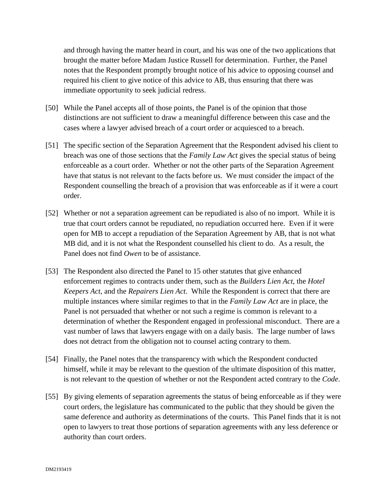and through having the matter heard in court, and his was one of the two applications that brought the matter before Madam Justice Russell for determination. Further, the Panel notes that the Respondent promptly brought notice of his advice to opposing counsel and required his client to give notice of this advice to AB, thus ensuring that there was immediate opportunity to seek judicial redress.

- [50] While the Panel accepts all of those points, the Panel is of the opinion that those distinctions are not sufficient to draw a meaningful difference between this case and the cases where a lawyer advised breach of a court order or acquiesced to a breach.
- [51] The specific section of the Separation Agreement that the Respondent advised his client to breach was one of those sections that the *Family Law Act* gives the special status of being enforceable as a court order. Whether or not the other parts of the Separation Agreement have that status is not relevant to the facts before us. We must consider the impact of the Respondent counselling the breach of a provision that was enforceable as if it were a court order.
- [52] Whether or not a separation agreement can be repudiated is also of no import. While it is true that court orders cannot be repudiated, no repudiation occurred here. Even if it were open for MB to accept a repudiation of the Separation Agreement by AB, that is not what MB did, and it is not what the Respondent counselled his client to do. As a result, the Panel does not find *Owen* to be of assistance.
- [53] The Respondent also directed the Panel to 15 other statutes that give enhanced enforcement regimes to contracts under them, such as the *Builders Lien Act*, the *Hotel Keepers Act*, and the *Repairers Lien Act*. While the Respondent is correct that there are multiple instances where similar regimes to that in the *Family Law Act* are in place, the Panel is not persuaded that whether or not such a regime is common is relevant to a determination of whether the Respondent engaged in professional misconduct. There are a vast number of laws that lawyers engage with on a daily basis. The large number of laws does not detract from the obligation not to counsel acting contrary to them.
- [54] Finally, the Panel notes that the transparency with which the Respondent conducted himself, while it may be relevant to the question of the ultimate disposition of this matter, is not relevant to the question of whether or not the Respondent acted contrary to the *Code*.
- [55] By giving elements of separation agreements the status of being enforceable as if they were court orders, the legislature has communicated to the public that they should be given the same deference and authority as determinations of the courts. This Panel finds that it is not open to lawyers to treat those portions of separation agreements with any less deference or authority than court orders.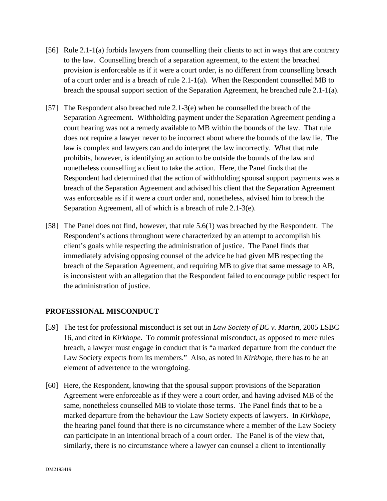- [56] Rule 2.1-1(a) forbids lawyers from counselling their clients to act in ways that are contrary to the law. Counselling breach of a separation agreement, to the extent the breached provision is enforceable as if it were a court order, is no different from counselling breach of a court order and is a breach of rule 2.1-1(a). When the Respondent counselled MB to breach the spousal support section of the Separation Agreement, he breached rule 2.1-1(a).
- [57] The Respondent also breached rule 2.1-3(e) when he counselled the breach of the Separation Agreement. Withholding payment under the Separation Agreement pending a court hearing was not a remedy available to MB within the bounds of the law. That rule does not require a lawyer never to be incorrect about where the bounds of the law lie. The law is complex and lawyers can and do interpret the law incorrectly. What that rule prohibits, however, is identifying an action to be outside the bounds of the law and nonetheless counselling a client to take the action. Here, the Panel finds that the Respondent had determined that the action of withholding spousal support payments was a breach of the Separation Agreement and advised his client that the Separation Agreement was enforceable as if it were a court order and, nonetheless, advised him to breach the Separation Agreement, all of which is a breach of rule 2.1-3(e).
- [58] The Panel does not find, however, that rule 5.6(1) was breached by the Respondent. The Respondent's actions throughout were characterized by an attempt to accomplish his client's goals while respecting the administration of justice. The Panel finds that immediately advising opposing counsel of the advice he had given MB respecting the breach of the Separation Agreement, and requiring MB to give that same message to AB, is inconsistent with an allegation that the Respondent failed to encourage public respect for the administration of justice.

## **PROFESSIONAL MISCONDUCT**

- [59] The test for professional misconduct is set out in *Law Society of BC v. Martin*, 2005 LSBC 16, and cited in *Kirkhope*. To commit professional misconduct, as opposed to mere rules breach, a lawyer must engage in conduct that is "a marked departure from the conduct the Law Society expects from its members." Also, as noted in *Kirkhope*, there has to be an element of advertence to the wrongdoing.
- [60] Here, the Respondent, knowing that the spousal support provisions of the Separation Agreement were enforceable as if they were a court order, and having advised MB of the same, nonetheless counselled MB to violate those terms. The Panel finds that to be a marked departure from the behaviour the Law Society expects of lawyers. In *Kirkhope*, the hearing panel found that there is no circumstance where a member of the Law Society can participate in an intentional breach of a court order. The Panel is of the view that, similarly, there is no circumstance where a lawyer can counsel a client to intentionally